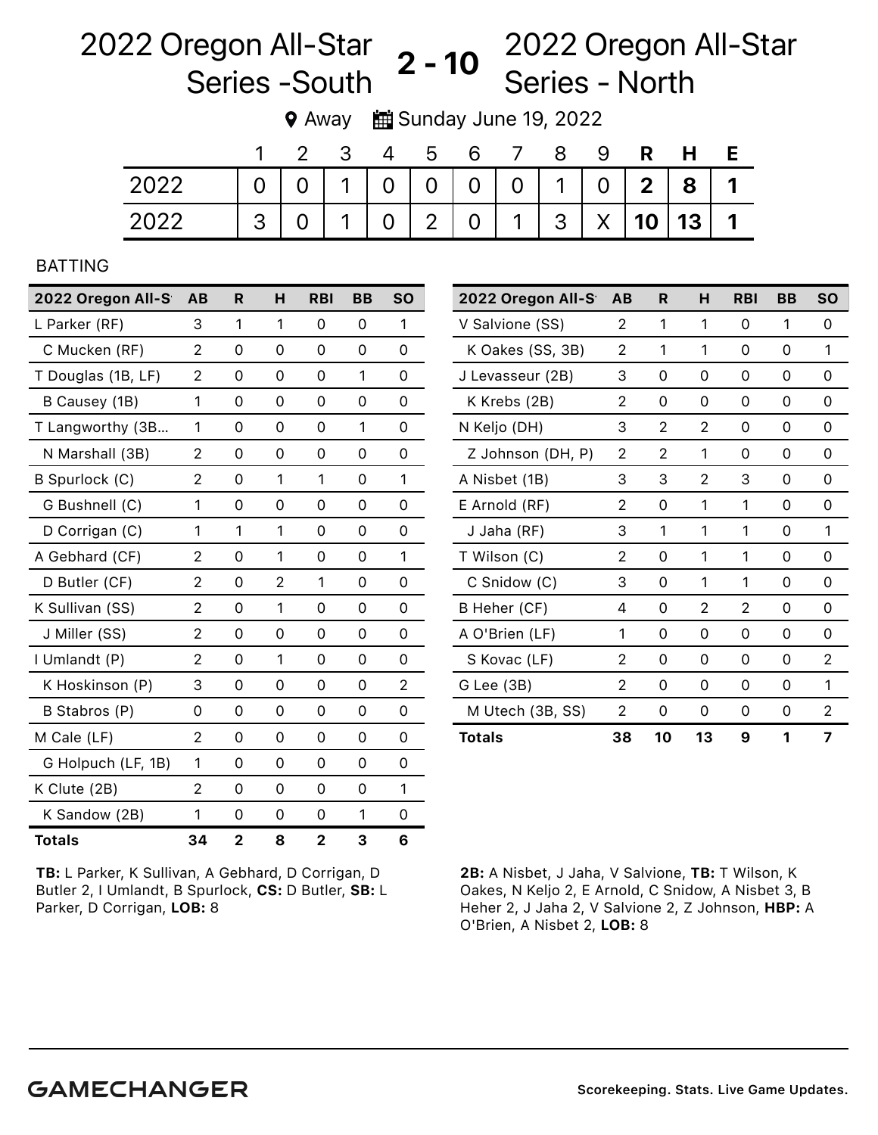## 2022 Oregon All-Star Series -South 2022 Oregon All-Star  $2 - 10$   $\overline{S}$  - North

9 Away  $\frac{1}{2}$  Sunday June 19, 2022

|      |               | - 3         | 4 | b | 6       |          |                                   | 9 | H          |  |
|------|---------------|-------------|---|---|---------|----------|-----------------------------------|---|------------|--|
| 2022 |               |             |   |   |         |          | 0   1   0   0   0   0   1   0   2 |   | $8 \mid 1$ |  |
| 2022 | $\mathcal{S}$ | $\mathbf 1$ |   |   | $0 2 0$ | $\sim$ 1 | $ 3  \times  10 13 1$             |   |            |  |

## BATTING

| 2022 Oregon All-S  | <b>AB</b>      | R           | н | <b>RBI</b>  | <b>BB</b> | <b>SO</b> |
|--------------------|----------------|-------------|---|-------------|-----------|-----------|
| L Parker (RF)      | 3              | 1           | 1 | 0           | 0         | 1         |
| C Mucken (RF)      | $\overline{2}$ | 0           | 0 | 0           | 0         | 0         |
| T Douglas (1B, LF) | 2              | 0           | 0 | 0           | 1         | 0         |
| B Causey (1B)      | 1              | 0           | 0 | $\Omega$    | 0         | 0         |
| T Langworthy (3B   | 1              | 0           | 0 | 0           | 1         | 0         |
| N Marshall (3B)    | 2              | 0           | 0 | 0           | 0         | 0         |
| B Spurlock (C)     | $\overline{2}$ | 0           | 1 | 1           | 0         | 1         |
| G Bushnell (C)     | 1              | 0           | 0 | 0           | 0         | $\Omega$  |
| D Corrigan (C)     | 1              | 1           | 1 | 0           | 0         | 0         |
| A Gebhard (CF)     | $\overline{2}$ | 0           | 1 | 0           | 0         | 1         |
| D Butler (CF)      | 2              | 0           | 2 | 1           | 0         | 0         |
| K Sullivan (SS)    | 2              | 0           | 1 | 0           | 0         | 0         |
| J Miller (SS)      | 2              | 0           | 0 | 0           | 0         | 0         |
| I Umlandt (P)      | 2              | 0           | 1 | 0           | 0         | 0         |
| K Hoskinson (P)    | 3              | 0           | 0 | 0           | 0         | 2         |
| B Stabros (P)      | 0              | 0           | 0 | 0           | 0         | 0         |
| M Cale (LF)        | 2              | 0           | 0 | 0           | 0         | $\Omega$  |
| G Holpuch (LF, 1B) | 1              | 0           | 0 | 0           | 0         | 0         |
| K Clute (2B)       | 2              | 0           | 0 | $\Omega$    | 0         | 1         |
| K Sandow (2B)      | 1              | 0           | 0 | 0           | 1         | 0         |
| <b>Totals</b>      | 34             | $\mathbf 2$ | 8 | $\mathbf 2$ | 3         | 6         |

2022 Oregon All-S AB R H RBI BB SO V Salvione (SS) 2 1 1 0 1 0

TB: L Parker, K Sullivan, A Gebhard, D Corrigan, D Butler 2, I Umlandt, B Spurlock, CS: D Butler, SB: L Parker, D Corrigan, LOB: 8

2B: A Nisbet, J Jaha, V Salvione, TB: T Wilson, K Oakes, N Keljo 2, E Arnold, C Snidow, A Nisbet 3, B Heher 2, J Jaha 2, V Salvione 2, Z Johnson, HBP: A O'Brien, A Nisbet 2, LOB: 8